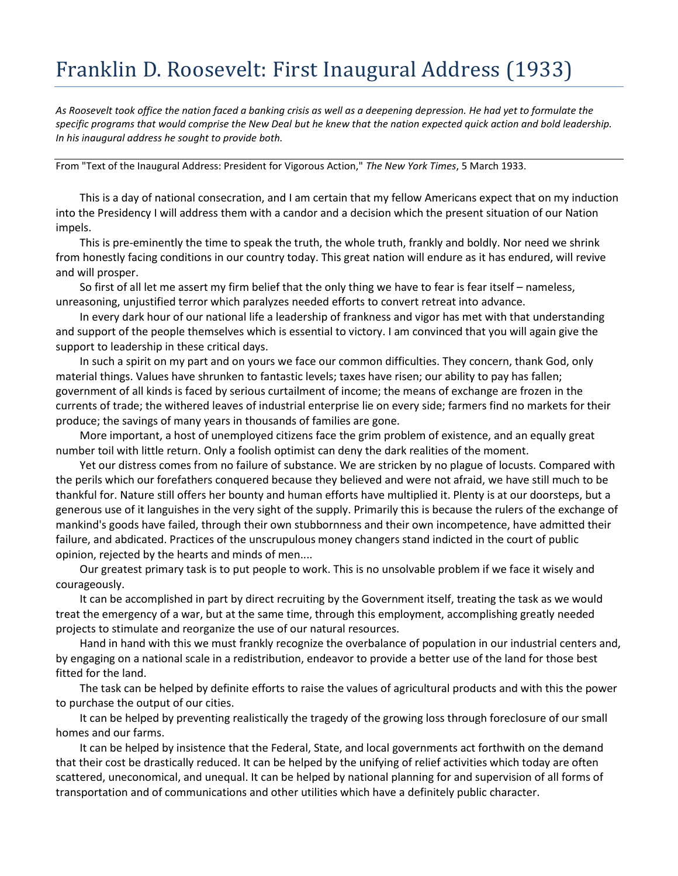## Franklin D. Roosevelt: First Inaugural Address (1933)

*As Roosevelt took office the nation faced a banking crisis as well as a deepening depression. He had yet to formulate the specific programs that would comprise the New Deal but he knew that the nation expected quick action and bold leadership. In his inaugural address he sought to provide both.* 

From "Text of the Inaugural Address: President for Vigorous Action," *The New York Times*, 5 March 1933.

This is a day of national consecration, and I am certain that my fellow Americans expect that on my induction into the Presidency I will address them with a candor and a decision which the present situation of our Nation impels.

This is pre-eminently the time to speak the truth, the whole truth, frankly and boldly. Nor need we shrink from honestly facing conditions in our country today. This great nation will endure as it has endured, will revive and will prosper.

So first of all let me assert my firm belief that the only thing we have to fear is fear itself – nameless, unreasoning, unjustified terror which paralyzes needed efforts to convert retreat into advance.

In every dark hour of our national life a leadership of frankness and vigor has met with that understanding and support of the people themselves which is essential to victory. I am convinced that you will again give the support to leadership in these critical days.

In such a spirit on my part and on yours we face our common difficulties. They concern, thank God, only material things. Values have shrunken to fantastic levels; taxes have risen; our ability to pay has fallen; government of all kinds is faced by serious curtailment of income; the means of exchange are frozen in the currents of trade; the withered leaves of industrial enterprise lie on every side; farmers find no markets for their produce; the savings of many years in thousands of families are gone.

More important, a host of unemployed citizens face the grim problem of existence, and an equally great number toil with little return. Only a foolish optimist can deny the dark realities of the moment.

Yet our distress comes from no failure of substance. We are stricken by no plague of locusts. Compared with the perils which our forefathers conquered because they believed and were not afraid, we have still much to be thankful for. Nature still offers her bounty and human efforts have multiplied it. Plenty is at our doorsteps, but a generous use of it languishes in the very sight of the supply. Primarily this is because the rulers of the exchange of mankind's goods have failed, through their own stubbornness and their own incompetence, have admitted their failure, and abdicated. Practices of the unscrupulous money changers stand indicted in the court of public opinion, rejected by the hearts and minds of men....

Our greatest primary task is to put people to work. This is no unsolvable problem if we face it wisely and courageously.

It can be accomplished in part by direct recruiting by the Government itself, treating the task as we would treat the emergency of a war, but at the same time, through this employment, accomplishing greatly needed projects to stimulate and reorganize the use of our natural resources.

Hand in hand with this we must frankly recognize the overbalance of population in our industrial centers and, by engaging on a national scale in a redistribution, endeavor to provide a better use of the land for those best fitted for the land.

The task can be helped by definite efforts to raise the values of agricultural products and with this the power to purchase the output of our cities.

It can be helped by preventing realistically the tragedy of the growing loss through foreclosure of our small homes and our farms.

It can be helped by insistence that the Federal, State, and local governments act forthwith on the demand that their cost be drastically reduced. It can be helped by the unifying of relief activities which today are often scattered, uneconomical, and unequal. It can be helped by national planning for and supervision of all forms of transportation and of communications and other utilities which have a definitely public character.